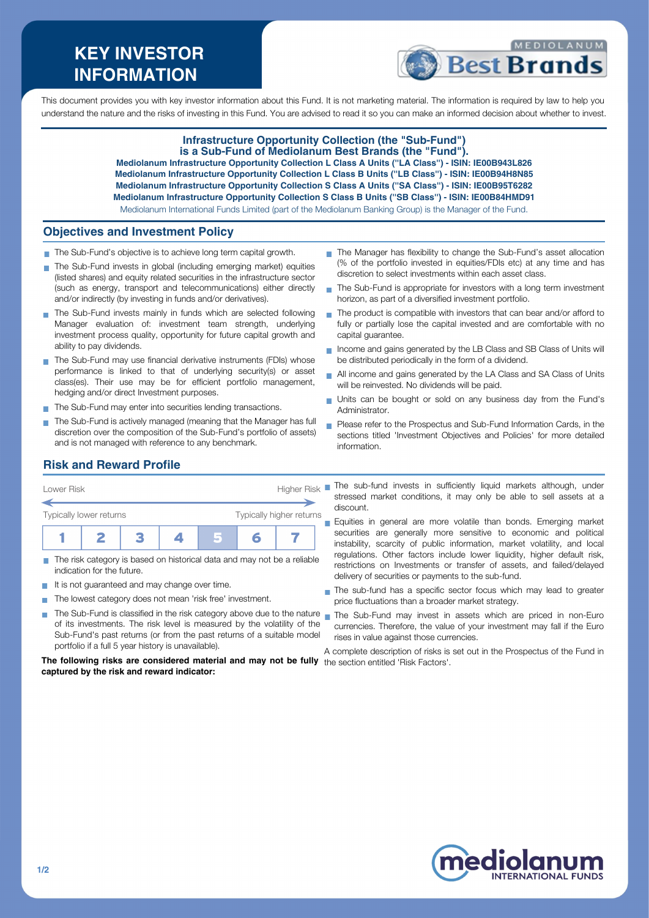# **KEY INVESTOR INFORMATION**



This document provides you with key investor information about this Fund. It is not marketing material. The information is required by law to help you understand the nature and the risks of investing in this Fund. You are advised to read it so you can make an informed decision about whether to invest.

#### **Infrastructure Opportunity Collection (the "Sub-Fund") is a Sub-Fund of Mediolanum Best Brands (the "Fund").**

**Mediolanum Infrastructure Opportunity Collection L Class A Units (''LA Class'') - ISIN: IE00B943L826 Mediolanum Infrastructure Opportunity Collection L Class B Units (''LB Class'') - ISIN: IE00B94H8N85 Mediolanum Infrastructure Opportunity Collection S Class A Units (''SA Class'') - ISIN: IE00B95T6282 Mediolanum Infrastructure Opportunity Collection S Class B Units (''SB Class'') - ISIN: IE00B84HMD91** Mediolanum International Funds Limited (part of the Mediolanum Banking Group) is the Manager of the Fund.

**Objectives and Investment Policy**

- The Sub-Fund's objective is to achieve long term capital growth.
- The Sub-Fund invests in global (including emerging market) equities (listed shares) and equity related securities in the infrastructure sector (such as energy, transport and telecommunications) either directly and/or indirectly (by investing in funds and/or derivatives).
- The Sub-Fund invests mainly in funds which are selected following Manager evaluation of: investment team strength, underlying investment process quality, opportunity for future capital growth and ability to pay dividends.
- The Sub-Fund may use financial derivative instruments (FDIs) whose performance is linked to that of underlying security(s) or asset class(es). Their use may be for efficient portfolio management, hedging and/or direct Investment purposes.
- The Sub-Fund may enter into securities lending transactions.
- The Sub-Fund is actively managed (meaning that the Manager has full discretion over the composition of the Sub-Fund's portfolio of assets) and is not managed with reference to any benchmark.
- The Manager has flexibility to change the Sub-Fund's asset allocation (% of the portfolio invested in equities/FDIs etc) at any time and has discretion to select investments within each asset class.
- The Sub-Fund is appropriate for investors with a long term investment m. horizon, as part of a diversified investment portfolio.
- The product is compatible with investors that can bear and/or afford to  $\mathbf{r}$ fully or partially lose the capital invested and are comfortable with no capital guarantee.
- Income and gains generated by the LB Class and SB Class of Units will be distributed periodically in the form of a dividend.
- All income and gains generated by the LA Class and SA Class of Units will be reinvested. No dividends will be paid.
- Units can be bought or sold on any business day from the Fund's Administrator.
- Please refer to the Prospectus and Sub-Fund Information Cards, in the sections titled 'Investment Objectives and Policies' for more detailed information.

# **Risk and Reward Profile**

| Lower Risk                     |  | <b>Higher Risk</b>       |  |   |  |  |
|--------------------------------|--|--------------------------|--|---|--|--|
| <b>Typically lower returns</b> |  | Typically higher returns |  |   |  |  |
|                                |  |                          |  | n |  |  |

- The risk category is based on historical data and may not be a reliable  $\overline{\phantom{a}}$ indication for the future.
- It is not guaranteed and may change over time. **THE**
- The lowest category does not mean 'risk free' investment.
- The Sub-Fund is classified in the risk category above due to the nature nan the Sub-Fund may invest in assets which are priced in non-Euro of its investments. The risk level is measured by the volatility of the Sub-Fund's past returns (or from the past returns of a suitable model portfolio if a full 5 year history is unavailable).

**The following risks are considered material and may not be fully** the section entitled 'Risk Factors'.**captured by the risk and reward indicator:**

- The sub-fund invests in sufficiently liquid markets although, under stressed market conditions, it may only be able to sell assets at a discount.
- **Equities in general are more volatile than bonds. Emerging market** securities are generally more sensitive to economic and political instability, scarcity of public information, market volatility, and local regulations. Other factors include lower liquidity, higher default risk, restrictions on Investments or transfer of assets, and failed/delayed delivery of securities or payments to the sub-fund.
- The sub-fund has a specific sector focus which may lead to greater price fluctuations than a broader market strategy.
- currencies. Therefore, the value of your investment may fall if the Euro rises in value against those currencies.

A complete description of risks is set out in the Prospectus of the Fund in